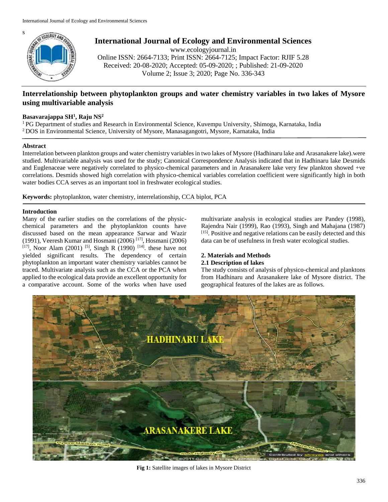

**International Journal of Ecology and Environmental Sciences**

www.ecologyjournal.in Online ISSN: 2664-7133; Print ISSN: 2664-7125; Impact Factor: RJIF 5.28 Received: 20-08-2020; Accepted: 05-09-2020; ; Published: 21-09-2020 Volume 2; Issue 3; 2020; Page No. 336-343

# **Interrelationship between phytoplankton groups and water chemistry variables in two lakes of Mysore using multivariable analysis**

# **Basavarajappa SH<sup>1</sup> , Raju NS<sup>2</sup>**

<sup>1</sup>PG Department of studies and Research in Environmental Science, Kuvempu University, Shimoga, Karnataka, India <sup>2</sup>DOS in Environmental Science, University of Mysore, Manasagangotri, Mysore, Karnataka, India

### **Abstract**

Interrelation between plankton groups and water chemistry variables in two lakes of Mysore (Hadhinaru lake and Arasanakere lake).were studied. Multivariable analysis was used for the study; Canonical Correspondence Analysis indicated that in Hadhinaru lake Desmids and Euglenaceae were negatively correlated to physico-chemical parameters and in Arasanakere lake very few plankton showed +ve correlations. Desmids showed high correlation with physico-chemical variables correlation coefficient were significantly high in both water bodies CCA serves as an important tool in freshwater ecological studies.

**Keywords:** phytoplankton, water chemistry, interrelationship, CCA biplot, PCA

### **Introduction**

Many of the earlier studies on the correlations of the physicchemical parameters and the phytoplankton counts have discussed based on the mean appearance Sarwar and Wazir (1991), Veeresh Kumar and Hosmani (2006) [17] , Hosmani (2006)  $[17]$ , Noor Alam (2001) <sup>[5]</sup>, Singh R (1990) <sup>[14]</sup>. these have not yielded significant results. The dependency of certain phytoplankton an important water chemistry variables cannot be traced. Multivariate analysis such as the CCA or the PCA when applied to the ecological data provide an excellent opportunity for a comparative account. Some of the works when have used

multivariate analysis in ecological studies are Pandey (1998), Rajendra Nair (1999), Rao (1993), Singh and Mahajana (1987) [15]. Positive and negative relations can be easily detected and this data can be of usefulness in fresh water ecological studies.

#### **2. Materials and Methods 2.1 Description of lakes**

The study consists of analysis of physico-chemical and planktons from Hadhinaru and Arasanakere lake of Mysore district. The geographical features of the lakes are as follows.



**Fig 1:** Satellite images of lakes in Mysore District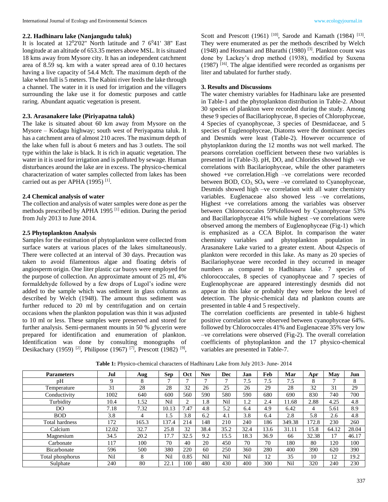### **2.2. Hadhinaru lake (Nanjangudu taluk)**

It is located at  $12^02'02''$  North latitude and 7  $6^041'$  38" East longitude at an altitude of 653.35 meters above MSL. It is situated 18 kms away from Mysore city. It has an independent catchment area of 8.59 sq. km with a water spread area of 0.10 hectares having a live capacity of 54.4 Mcft. The maximum depth of the lake when full is 5 meters. The Kabini river feeds the lake through a channel. The water in it is used for irrigation and the villagers surrounding the lake use it for domestic purposes and cattle raring. Abundant aquatic vegetation is present.

#### **2.3. Arasanakere lake (Piriyapatna taluk)**

The lake is situated about 60 km away from Mysore on the Mysore – Kodagu highway; south west of Periyapatna taluk. It has a catchment area of almost 210 acres. The maximum depth of the lake when full is about 6 meters and has 3 outlets. The soil type within the lake is black. It is rich in aquatic vegetation. The water in it is used for irrigation and is polluted by sewage. Human disturbances around the lake are in excess. The physico-chemical characterization of water samples collected from lakes has been carried out as per APHA  $(1995)$ <sup>[1]</sup>.

### **2.4 Chemical analysis of water**

The collection and analysis of water samples were done as per the methods prescribed by APHA 1995<sup>[1]</sup> edition. During the period from July 2013 to June 2014.

#### **2.5 Phytoplankton Analysis**

Samples for the estimation of phytoplankton were collected from surface waters at various places of the lakes simultaneously. There were collected at an interval of 30 days. Precaution was taken to avoid filamentous algae and floating debris of angiosperm origin. One liter plastic car buoys were employed for the purpose of collection. An approximate amount of 25 ml, 4% formaldehyde followed by a few drops of Lugol's iodine were added to the sample which was sediment in glass columns as described by Welch (1948). The amount thus sediment was further reduced to 20 ml by centrifugation and on certain occasions when the plankton population was thin it was adjusted to 10 ml or less. These samples were preserved and stored for further analysis. Semi-permanent mounts in 50 % glycerin were prepared for identification and enumeration of plankton. Identification was done by consulting monographs of Desikachary (1959)<sup>[2]</sup>, Philipose (1967)<sup>[7]</sup>, Prescott (1982)<sup>[9]</sup>,

Scott and Prescott (1961)<sup>[10]</sup>, Sarode and Kamath (1984)<sup>[13]</sup>. They were enumerated as per the methods described by Welch (1948) and Hosmani and Bharathi (1980) [3] . Plankton count was done by Lackey's drop method (1938), modified by Suxena (1987) [16] . The algae identified were recorded as organisms per liter and tabulated for further study.

# **3. Results and Discussions**

The water chemistry variables for Hadhinaru lake are presented in Table-1 and the phytoplankton distribution in Table-2. About 30 species of plankton were recorded during the study. Among these 9 species of Bacillariophyceae, 8 species of Chlorophyceae, 4 Species of cyanophyceae, 3 species of Desmidaceae, and 5 species of Euglenophyceae, Diatoms were the dominant species and Desmids were least (Table-2). However occurrence of phytoplankton during the 12 months was not well marked. The pearsons correlation coefficient between these two variables is presented in (Table-3). pH, DO, and Chlorides showed high –ve correlations with Bacilariophyceae, while the other parameters showed +ve correlation.High –ve correlations were recorded between BOD,  $CO<sub>3</sub>$ , SO<sub>4</sub> were –ve correlated to Cyanophyceae, Desmids showed high –ve correlation with all water chemistry variables. Euglenaceae also showed less –ve correlations, Highest +ve correlations among the variables was observer between Chlorococcales 59%followed by Cyanophyceae 53% and Bacillariophyceae 41% while highest –ve correlations were observed among the members of Euglenophyceae (Fig-1) which is emphasized as a CCA Biplot. In comparison the water chemistry variables and phytoplankton population in Arasanakere Lake varied to a greater extent. About 42specis of plankton were recorded in this lake. As many as 20 species of Bacilariophyceae were recorded in they occurred in meager numbers as compared to Hadhinaru lake. 7 species of chlorococcales, 8 species of cyanophyceae and 7 species of Euglenophyceae are appeared interestingly desmids did not appear in this lake or probably they were below the level of detection. The physic-chemical data nd plankton counts are presented in table 4 and 5 respectively.

The correlation coefficients are presented in table-6 highest positive correlation were observed between cyanophyceae 64%. followed by Chlorococcales 41% and Euglenaceae 35% very low –ve correlations were observed (Fig-2). The overall correlation coefficients of phytoplankton and the 17 physico-chemical variables are presented in Table-7.

| <b>Parameters</b>     | Jul   | Aug   | <b>Sep</b> | <b>Oct</b> | <b>Nov</b> | <b>Dec</b> | Jan  | Feb  | Mar    | Apr   | May   | Jun   |
|-----------------------|-------|-------|------------|------------|------------|------------|------|------|--------|-------|-------|-------|
| pН                    | 9     | 8     |            | ⇁          |            |            | 7.5  | 7.5  | 7.5    | 8     |       | 8     |
| Temperature           | 31    | 28    | 28         | 32         | 26         | 25         | 26   | 29   | 28     | 32    | 31    | 29    |
| Conductivity          | 1002  | 640   | 600        | 560        | 590        | 580        | 590  | 680  | 690    | 830   | 740   | 700   |
| Turbidity             | 10.4  | 1.52  | Nil        | 2          | 1.8        | Nil        | 1.2  | 2.4  | 11.68  | 2.88  | 4.25  | 4.8   |
| DO.                   | 7.18  | 7.32  | 10.13      | 7.47       | 4.8        | 5.2        | 6.4  | 4.9  | 6.42   | 4     | 5.61  | 8.9   |
| <b>BOD</b>            | 3.8   | 4     | 1.5        | 3.8        | 6.2        | 4.1        | 3.8  | 6.4  | 2.8    | 5.8   | 2.6   | 4.8   |
| <b>Total hardness</b> | 172   | 165.3 | 137.4      | 214        | 148        | 210        | 240  | 186  | 349.38 | 172.8 | 230   | 260   |
| Calcium               | 12.02 | 32.7  | 25.8       | 32         | 38.4       | 35.2       | 32.4 | 13.6 | 31.11  | 15.8  | 64.12 | 28.04 |
| Magnesium             | 34.5  | 20.2  | 17.7       | 32.5       | 9.2        | 15.5       | 18.3 | 36.9 | 66     | 32.38 | 17    | 46.17 |
| Carbonate             | 117   | 100   | 70         | 40         | 20         | 450        | 70   | 70   | 180    | 80    | 120   | 100   |
| Bicarbonate           | 596   | 500   | 380        | 220        | 60         | 250        | 360  | 280  | 400    | 390   | 620   | 390   |
| Total phosphorus      | Nil   | 8     | Nil        | 0.85       | Nil        | Nil        | Nil  | 12   | 35     | 10    | 12    | 19.2  |
| Sulphate              | 240   | 80    | 22.1       | 100        | 480        | 430        | 400  | 300  | Nil    | 320   | 240   | 230   |

**Table 1:** Physico-chemical characters of Hadhinaru Lake from July 2013- June- 2014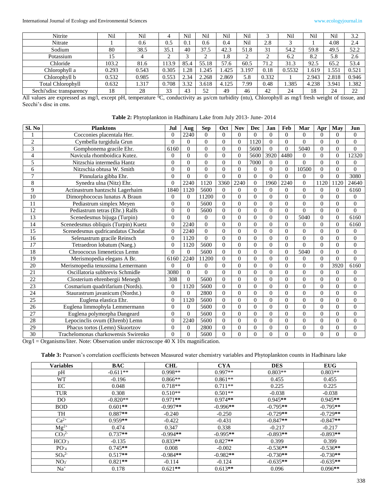International Journal of Ecology and Environmental Sciences www.ecologyjournal.in

| Nitrite                   | Nil   | Nil   |       | Nil  | Nil   | Nil   | Nil   |        | Nil    | Nil   | Nil   | 3.2   |
|---------------------------|-------|-------|-------|------|-------|-------|-------|--------|--------|-------|-------|-------|
| Nitrate                   |       | 0.6   | 0.5   |      | 0.6   | 0.4   | Nil   | 2.8    |        |       | 4.08  | 2.4   |
| Sodium                    | 80    | 38.5  | 35.1  | 40   | 37.5  | 42.3  | 51.8  | 31     | 54.2   | 59.8  | 49.5  | 52.2  |
| Potassium                 | 15    |       | ∼     | ⌒    | ∼     | 1.8   |       | ◠<br>∼ | 6.2    | 8.2   | 5.8   | 2.6   |
| Chloride                  | 103.2 | 81.6  | 113.9 | 85.4 | 55.18 | 57.6  | 60.5  | 71.2   | 31.3   | 92.5  | 65.2  | 53.4  |
| Chlorophyll a             | 0.293 | 0.543 | 0.305 | .28  | 1.245 | 1.425 | 3.197 | 0.18   | 0.5532 | 1.619 | 1.551 | 0.521 |
| Chlorophyll b             | 0.532 | 0.985 | 0.553 | 2.34 | 2.268 | 2.869 | 5.8   | 0.332  |        | 2.943 | 2.818 | 0.946 |
| <b>Total Chlorophyll</b>  | 0.632 | 1.317 | 0.708 | 3.32 | 3.618 | 4.125 | 7.99  | 0.48   | 1.385  | 4.238 | 3.941 | 1.382 |
| Sechi's disc transparency | 18    | 28    | 33    | 43   | 52    | 49    | 46    | 42     | 24     | 18    | 24    | 22    |

All values are expressed as mg/l, except pH, temperature <sup>0</sup>C, conductivity as µs/cm turbidity (ntu), Chlorophyll as mg/l fresh weight of tissue, and Secchi's disc in cms.

**Table 2:** Phytoplankton in Hadhinaru Lake from July 2013- June- 2014

| Sl. No          | <b>Planktons</b>                    | Jul            | Aug            | <b>Sep</b>       | Oct            | <b>Nov</b> | <b>Dec</b>   | Jan              | Feb      | Mar            | Apr      | May      | Jun            |
|-----------------|-------------------------------------|----------------|----------------|------------------|----------------|------------|--------------|------------------|----------|----------------|----------|----------|----------------|
| 1               | Cocconies placentala Her.           | $\Omega$       | 2240           | $\Omega$         | $\Omega$       | $\Omega$   | $\Omega$     | $\theta$         | $\Omega$ | $\Omega$       | $\Omega$ | $\Omega$ | $\Omega$       |
| $\overline{c}$  | Cymbella turgidula Grun             | $\Omega$       | $\overline{0}$ | $\boldsymbol{0}$ | $\Omega$       | $\Omega$   | 1120         | $\mathbf{0}$     | $\theta$ | $\Omega$       | $\Omega$ | $\theta$ | $\theta$       |
| $\overline{3}$  | Gomphonema gracile Ehr.             | 6160           | $\Omega$       | $\overline{0}$   | $\Omega$       | $\theta$   | 5600         | $\mathbf{0}$     | $\theta$ | 5040           | $\theta$ | $\theta$ | $\theta$       |
| 4               | Navicula rhomboidica Kutez.         | $\Omega$       | $\Omega$       | $\overline{0}$   | $\Omega$       | $\Omega$   | 5600         | 3920             | 4480     | $\Omega$       | $\Omega$ | $\theta$ | 12320          |
| 5               | Nitzschia intermedia Hantz          | $\Omega$       | $\Omega$       | $\boldsymbol{0}$ | $\Omega$       | $\Omega$   | 7000         | $\mathbf{0}$     | $\theta$ | $\theta$       | $\Omega$ | $\theta$ | $\theta$       |
| 6               | Nitzschia obtusa W. Smith           | $\Omega$       | $\overline{0}$ | $\overline{0}$   | $\Omega$       | $\Omega$   | $\Omega$     | $\overline{0}$   | $\theta$ | 10500          | $\Omega$ | $\Omega$ | $\theta$       |
| $\overline{7}$  | Pinnularia gibba Ehr.               | $\Omega$       | $\Omega$       | $\theta$         | $\Omega$       | $\theta$   | $\Omega$     | $\overline{0}$   | $\theta$ | $\mathbf{0}$   | $\Omega$ | $\theta$ | 3080           |
| 8               | Synedra ulna (Nitz) Ehr.            | $\Omega$       | 2240           | 1120             | 3360           | 2240       | $\mathbf{0}$ | 1960             | 2240     | $\Omega$       | 1120     | 1120     | 24640          |
| $\overline{9}$  | Actinastrum hantzschi Lagerhaim     | 1840           | 1120           | 5600             | $\Omega$       | $\Omega$   | $\Omega$     | $\overline{0}$   | $\Omega$ | $\theta$       | $\Omega$ | $\Omega$ | 6160           |
| 10              | Dimorphococus lunatus A Braun       | $\Omega$       | $\mathbf{0}$   | 11200            | $\Omega$       | $\Omega$   | $\Omega$     | $\overline{0}$   | $\Omega$ | $\Omega$       | $\Omega$ | $\Omega$ | $\theta$       |
| 11              | Pediastrum simplex Meyen            | $\Omega$       | $\Omega$       | 5600             | $\theta$       | $\Omega$   | $\Omega$     | $\overline{0}$   | $\theta$ | $\theta$       | $\Omega$ | $\Omega$ | $\theta$       |
| 12              | Pediastrum tetras (Ehr.) Ralfs      | $\Omega$       | $\mathbf{0}$   | 5600             | $\Omega$       | $\Omega$   | $\Omega$     | $\overline{0}$   | $\theta$ | $\theta$       | $\Omega$ | $\theta$ | $\theta$       |
| $\overline{13}$ | Scenedesmus bijuga (Turpin)         | $\theta$       | $\Omega$       | $\overline{0}$   | $\theta$       | $\theta$   | $\theta$     | $\mathbf{0}$     | $\theta$ | 5040           | $\Omega$ | $\theta$ | 6160           |
| 14              | Scenedesmus obliquis (Turpin) Kuetz | $\Omega$       | 2240           | $\overline{0}$   | $\theta$       | $\Omega$   | $\Omega$     | $\overline{0}$   | $\Omega$ | $\theta$       | $\Omega$ | $\Omega$ | 6160           |
| 15              | Scenedesmus qudricandatus Chodat    | $\Omega$       | 2240           | $\Omega$         | $\theta$       | $\theta$   | $\Omega$     | $\mathbf{0}$     | $\theta$ | $\theta$       | $\Omega$ | $\theta$ | $\theta$       |
| 16              | Selenastrum gracile Reinsch         | $\theta$       | 1120           | $\theta$         | $\Omega$       | $\theta$   | $\Omega$     | $\mathbf{0}$     | $\Omega$ | $\theta$       | $\Omega$ | $\theta$ | $\overline{0}$ |
| 17              | Tetraedron lobatum (Naeg.)          | $\theta$       | 1120           | 5600             | $\Omega$       | $\Omega$   | $\Omega$     | $\boldsymbol{0}$ | $\theta$ | $\theta$       | $\Omega$ | $\theta$ | $\theta$       |
| 18              | Chroococus limeneticus Lemn         | $\Omega$       | $\Omega$       | 5600             | $\theta$       | $\theta$   | $\theta$     | $\overline{0}$   | $\theta$ | 5040           | $\theta$ | $\theta$ | $\overline{0}$ |
| 19              | Merismopedia elegans A Br.          | 6160           | 2240           | 11200            | $\theta$       | $\Omega$   | $\Omega$     | $\overline{0}$   | $\theta$ | $\theta$       | $\Omega$ | $\Omega$ | $\theta$       |
| 20              | Merismopedia tenussima Lemermann    | $\Omega$       | $\mathbf{0}$   | $\overline{0}$   | $\Omega$       | $\Omega$   | $\Omega$     | $\overline{0}$   | $\theta$ | $\Omega$       | $\Omega$ | 3920     | 6160           |
| 21              | Oscillatoria subbrevis Schmidle     | 3080           | $\overline{0}$ | $\mathbf{0}$     | $\theta$       | $\theta$   | $\theta$     | $\overline{0}$   | $\theta$ | $\theta$       | $\theta$ | $\Omega$ | $\overline{0}$ |
| $\overline{22}$ | Closterium ehrenbergii Menegh       | 308            | $\Omega$       | 5600             | $\Omega$       | $\Omega$   | $\Omega$     | $\boldsymbol{0}$ | $\Omega$ | $\theta$       | $\Omega$ | $\Omega$ | $\theta$       |
| 23              | Cosmarium quadrifarium (Nords).     | $\overline{0}$ | 1120           | 5600             | $\theta$       | $\Omega$   | $\theta$     | $\overline{0}$   | $\Omega$ | $\theta$       | $\theta$ | $\theta$ | $\theta$       |
| 24              | Staurastrum javanicum (Nordst.)     | $\Omega$       | $\Omega$       | 2800             | $\theta$       | $\theta$   | $\Omega$     | $\mathbf{0}$     | $\Omega$ | $\theta$       | $\Omega$ | $\theta$ | $\overline{0}$ |
| 25              | Euglena elastica Ehr.               | $\Omega$       | 1120           | 5600             | $\overline{0}$ | $\Omega$   | $\Omega$     | $\overline{0}$   | $\theta$ | $\theta$       | $\Omega$ | $\Omega$ | $\overline{0}$ |
| 26              | Euglena limmophyla Lemmermann       | $\Omega$       | $\mathbf{0}$   | 5600             | $\theta$       | $\Omega$   | $\Omega$     | $\overline{0}$   | $\Omega$ | $\theta$       | $\Omega$ | $\theta$ | $\overline{0}$ |
| 27              | Euglena polymorpha Dangeard         | $\Omega$       | $\mathbf{0}$   | 5600             | $\Omega$       | $\Omega$   | $\Omega$     | $\overline{0}$   | $\theta$ | $\Omega$       | $\Omega$ | $\theta$ | $\overline{0}$ |
| 28              | Lepocinclis ovum (Ehrenb) Lemn      | $\Omega$       | 2240           | 5600             | $\theta$       | $\Omega$   | $\Omega$     | $\overline{0}$   | $\Omega$ | $\theta$       | $\theta$ | $\theta$ | $\theta$       |
| 29              | Phacus tortos (Lemn) Skuortzov      | $\Omega$       | $\mathbf{0}$   | 2800             | $\Omega$       | $\Omega$   | $\Omega$     | $\mathbf{0}$     | $\theta$ | $\overline{0}$ | $\theta$ | $\theta$ | $\overline{0}$ |
| 30              | Trachelomonas charkowensis Swirenko | $\Omega$       | $\Omega$       | 5600             | $\theta$       | $\Omega$   | $\Omega$     | $\mathbf{0}$     | $\Omega$ | $\theta$       | $\Omega$ | $\Omega$ | $\theta$       |

Org/l = Organisms/liter. Note: Observation under microscope 40 X 10x magnification.

Table 3: Pearson's correlation coefficients between Measured water chemistry variables and Phytoplankton counts in Hadhinaru lake

| <b>Variables</b>             | <b>BAC</b> | <b>CHL</b> | <b>CYA</b> | <b>DES</b> | <b>EUG</b> |
|------------------------------|------------|------------|------------|------------|------------|
| pH                           | $-0.611**$ | $0.998**$  | $0.997**$  | $0.803**$  | $0.803**$  |
| WT                           | $-0.196$   | $0.866**$  | $0.861**$  | 0.455      | 0.455      |
| EC                           | 0.048      | $0.718**$  | $0.711**$  | 0.225      | 0.225      |
| <b>TUR</b>                   | 0.308      | $0.510**$  | $0.501**$  | $-0.038$   | $-0.038$   |
| D <sub>O</sub>               | $-0.820**$ | $0.971**$  | $0.974**$  | $0.945**$  | $0.945**$  |
| <b>BOD</b>                   | $0.601**$  | $-0.997**$ | $-0.996**$ | $-0.795**$ | $-0.795**$ |
| TH                           | $0.887**$  | $-0.240$   | $-0.250$   | $-0.729**$ | $-0.729**$ |
| $Ca^{2+}$                    | $0.959**$  | $-0.422$   | $-0.431$   | $-0.847**$ | $-0.847**$ |
| $Mg^{2+}$                    | 0.474      | 0.347      | 0.338      | $-0.217$   | $-0.217$   |
| CO <sub>3</sub> <sup>2</sup> | $0.737**$  | $-0.994**$ | $-0.995**$ | $-0.893**$ | $-0.893**$ |
| HCO <sub>3</sub>             | $-0.135$   | $0.833**$  | $0.827**$  | 0.399      | 0.399      |
| PO <sub>4</sub>              | $0.745**$  | 0.008      | $-0.002$   | $-0.536**$ | $-0.536**$ |
| SO <sub>4</sub> <sup>2</sup> | $0.517**$  | $-0.984**$ | $-0.982**$ | $-0.730**$ | $-0.730**$ |
| NO <sub>3</sub>              | $0.821**$  | $-0.114$   | $-0.124$   | $-0.635**$ | $-0.635**$ |
| $Na+$                        | 0.178      | $0.621**$  | $0.613**$  | 0.096      | $0.096**$  |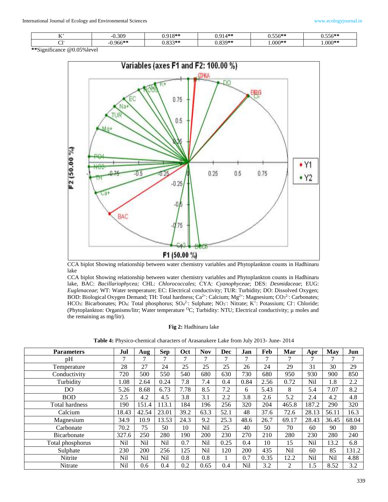| -- - | 0.309     | $010*1$<br>. .<br>.    | المعالم ال<br>- 14 ቀጣ | $\mathcal{L} \mathcal{L}$ and $\mathcal{L}$<br>いへんやく<br>v. <i>o</i> v | $- - - \sim 10$<br>ს.პპნ** |
|------|-----------|------------------------|-----------------------|-----------------------------------------------------------------------|----------------------------|
|      | $0.966**$ | 0.224<br>-2000<br>J.OJ | $920*$                | $000**$                                                               | $0.00$ **                  |

**\*\***Significance @0.05%level



CCA biplot Showing relationship between water chemistry variables and Phytoplankton counts in Hadhinaru lake

CCA biplot Showing relationship between water chemistry variables and Phytoplankton counts in Hadhinaru lake, BAC: *Bacillariophycea;* CHL: *Chlorococcales*; CYA: *Cyanophyceae*; DES: *Desmidaceae*; EUG: *Euglenaceae*; WT: Water temperature; EC: Electrical conductivity; TUR: Turbidity; DO: Dissolved Oxygen; BOD: Biological Oxygen Demand; TH: Total hardness;  $Ca^{2+}$ : Calcium; Mg<sup>2+</sup>: Magnesium; CO<sub>3</sub><sup>2</sup>: Carbonates; HCO<sub>3</sub>: Bicarbonates; PO<sub>4</sub>: Total phosphorus; SO<sub>4</sub><sup>2</sup>: Sulphate; NO<sub>3</sub>: Nitrate; K<sup>+</sup>: Potassium; Cl<sup>-</sup>: Chloride; (Phytoplankton: Organisms/litr; Water temperature <sup>O</sup>C; Turbidity: NTU; Electrical conductivity; µ moles and the remaining as mg/litr).

#### **Fig 2:** Hadhinaru lake

| <b>Parameters</b>  | Jul   | Aug   | <b>Sep</b> | Oct  | <b>Nov</b> | Dec  | Jan  | Feb  | Mar            | Apr           | May   | Jun   |
|--------------------|-------|-------|------------|------|------------|------|------|------|----------------|---------------|-------|-------|
| pH                 | 7     |       |            |      | 7          | 7    | ⇁    | 7    | 7              | $\mathcal{L}$ | 7     | 7     |
| Temperature        | 28    | 27    | 24         | 25   | 25         | 25   | 26   | 24   | 29             | 31            | 30    | 29    |
| Conductivity       | 720   | 500   | 550        | 540  | 680        | 630  | 730  | 680  | 950            | 930           | 900   | 850   |
| Turbidity          | 1.08  | 2.64  | 0.24       | 7.8  | 7.4        | 0.4  | 0.84 | 2.56 | 0.72           | Nil           | 1.8   | 2.2   |
| DO.                | 5.26  | 8.68  | 6.73       | 7.78 | 8.5        | 7.2  | 6    | 5.43 | 8              | 5.4           | 7.07  | 8.2   |
| <b>BOD</b>         | 2.5   | 4.2   | 4.5        | 3.8  | 3.1        | 2.2  | 3.8  | 2.6  | 5.2            | 2.4           | 4.2   | 4.8   |
| Total hardness     | 190   | 151.4 | 113.1      | 184  | 196        | 256  | 320  | 204  | 465.8          | 187.2         | 290   | 320   |
| Calcium            | 18.43 | 42.54 | 23.01      | 39.2 | 63.3       | 52.1 | 48   | 37.6 | 72.6           | 28.13         | 56.11 | 16.3  |
| Magnesium          | 34.9  | 10.9  | 13.53      | 24.3 | 9.2        | 25.3 | 48.6 | 26.7 | 69.17          | 28.43         | 36.45 | 68.04 |
| Carbonate          | 70.2  | 75    | 50         | 10   | Nil        | 25   | 40   | 50   | 70             | 60            | 90    | 80    |
| <b>Bicarbonate</b> | 327.6 | 250   | 280        | 190  | 200        | 230  | 270  | 210  | 280            | 230           | 280   | 240   |
| Total phosphorus   | Nil   | Nil   | Nil        | 0.7  | Nil        | 0.25 | 0.4  | 10   | 15             | Nil           | 13.2  | 6.8   |
| Sulphate           | 230   | 200   | 256        | 125  | Nil        | 120  | 200  | 435  | Nil            | 60            | 85    | 131.2 |
| Nitrite            | Nil   | Nil   | Nil        | 0.8  | 0.8        |      | 0.7  | 0.35 | 12.2           | Nil           | Nil   | 4.88  |
| Nitrate            | Nil   | 0.6   | 0.4        | 0.2  | 0.65       | 0.4  | Nil  | 3.2  | $\overline{2}$ | 1.5           | 8.52  | 3.2   |

**Table 4:** Physico-chemical characters of Arasanakere Lake from July 2013- June- 2014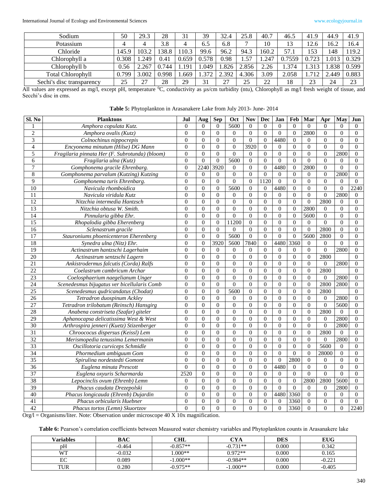International Journal of Ecology and Environmental Sciences www.ecologyjournal.in

| Sodium                    | 50    | 29.3  | 28    | 31    | 39    | 32.4  | 25.8  | 40.7  | 46.5   | 41.9  | 44.9  | 41.9  |
|---------------------------|-------|-------|-------|-------|-------|-------|-------|-------|--------|-------|-------|-------|
| Potassium                 |       | 4     | 3.8   |       | 6.5   | 6.8   |       | 10    | 13     | 12.6  | 16.2  | 16.4  |
| Chloride                  | 145.9 | 103.2 | 138.8 | 10.3  | 99.6  | 96.2  | 94.3  | 160.2 | 57.1   | 153   | 148   | 119.2 |
| Chlorophvll a             | 0.308 | 1.249 | 0.41  | 0.659 | 0.578 | 0.98  | 1.57  | .247  | 0.7559 | 0.723 | .013  | 0.329 |
| Chlorophyll b             | 0.56  | 2.267 | 0.744 | .191  | .049  | .826  | 2.856 | 2.26  | . 374  | 1.313 | .838  | 0.599 |
| <b>Total Chlorophyll</b>  | 0.799 | 3.002 | 0.998 | .669  | .372  | 2.392 | 4.306 | 3.09  | 2.058  | 712   | 2.449 | 0.883 |
| Sechi's disc transparency | 25    | 27    | 28    | 29    | 31    | 27    |       | 22    | 18     | 23    | 24    | 23    |

All values are expressed as mg/l, except pH, temperature <sup>0</sup>C, conductivity as µs/cm turbidity (ntu), Chlorophyll as mg/l fresh weight of tissue, and Secchi's disc in cms.

**Table 5:** Phytoplankton in Arasanakere Lake from July 2013- June- 2014

| Sl. No          | <b>Planktons</b>                               | Jul            | Aug            | <b>Sep</b>       | Oct              | <b>Nov</b>       | <b>Dec</b>     | Jan              | Feb            | Mar              | Apr              | May            | Jun            |
|-----------------|------------------------------------------------|----------------|----------------|------------------|------------------|------------------|----------------|------------------|----------------|------------------|------------------|----------------|----------------|
| 1               | Amphora copulata Kutz.                         | $\Omega$       | $\theta$       | $\Omega$         | 5600             | $\Omega$         | $\Omega$       | $\Omega$         | $\Omega$       | $\Omega$         | $\Omega$         | $\Omega$       | $\Omega$       |
| $\overline{c}$  | Amphora ovalis (Kutz)                          | $\mathbf{0}$   | $\theta$       | $\overline{0}$   | $\mathbf{0}$     | $\mathbf{0}$     | $\overline{0}$ | $\mathbf{0}$     | $\Omega$       | 2800             | $\boldsymbol{0}$ | $\overline{0}$ | $\theta$       |
| $\overline{3}$  | Colnochinus nippocrepis                        | $\theta$       | $\theta$       | $\theta$         | $\boldsymbol{0}$ | $\Omega$         | $\Omega$       | 4480             | $\Omega$       | $\Omega$         | $\boldsymbol{0}$ | $\Omega$       | $\theta$       |
| $\overline{4}$  | Encyonema minutum (Hilse) DG Mann              | $\Omega$       | $\Omega$       | $\Omega$         | $\mathbf{0}$     | 3920             | $\Omega$       | $\overline{0}$   | $\Omega$       | $\Omega$         | $\overline{0}$   | $\Omega$       | $\Omega$       |
| 5               | Fragilaria pinnata Her (F. Subrotunda) (bloom) | $\mathbf{0}$   | $\Omega$       | $\theta$         | $\overline{0}$   | $\Omega$         | $\Omega$       | $\theta$         | $\Omega$       | $\theta$         | $\overline{0}$   | 2800           | $\mathbf{0}$   |
| 6               | Fragilaria ulna (Kutz)                         | $\mathbf{0}$   | $\theta$       | $\theta$         | 5600             | $\mathbf{0}$     | $\theta$       | $\boldsymbol{0}$ | $\Omega$       | $\theta$         | $\overline{0}$   | $\Omega$       | $\theta$       |
| $\overline{7}$  | Gomphonema gracile Ehrenbarg.                  | $\mathbf{0}$   | 2240           | 3920             | $\mathbf{0}$     | $\theta$         | $\overline{0}$ | 4480             | $\overline{0}$ | 2800             | $\boldsymbol{0}$ | $\overline{0}$ | $\mathbf{0}$   |
| $\overline{8}$  | Gomphonema parvalum (Kutzing) Kutzing          | $\overline{0}$ | $\mathbf{0}$   | $\theta$         | $\boldsymbol{0}$ | $\mathbf{0}$     | $\overline{0}$ | $\theta$         | $\theta$       | $\mathbf{0}$     | $\boldsymbol{0}$ | 2800           | $\overline{0}$ |
| $\overline{9}$  | Gomphonema turis Ehrenbarg.                    | $\theta$       | $\Omega$       | $\theta$         | $\boldsymbol{0}$ | $\boldsymbol{0}$ | 1120           | $\boldsymbol{0}$ | $\Omega$       | $\theta$         | $\boldsymbol{0}$ | $\Omega$       | $\Omega$       |
| 10              | Navicula rhomboidica                           | $\mathbf{0}$   | $\overline{0}$ | $\overline{0}$   | 5600             | $\theta$         | $\mathbf{0}$   | 4480             | $\theta$       | $\overline{0}$   | $\boldsymbol{0}$ | $\Omega$       | 2240           |
| 11              | Navicula viridula Kutz                         | $\Omega$       | $\Omega$       | $\theta$         | $\theta$         | $\Omega$         | $\Omega$       | $\theta$         | $\Omega$       | $\Omega$         | $\boldsymbol{0}$ | 2800           | $\Omega$       |
| $\overline{12}$ | Nitzchia intermedia Hantzsch                   | $\Omega$       | $\Omega$       | $\Omega$         | $\theta$         | $\Omega$         | $\Omega$       | $\Omega$         | $\Omega$       | $\Omega$         | 2800             | $\Omega$       | $\Omega$       |
| 13              | Nitzchia obtusa W. Smith.                      | $\overline{0}$ | $\Omega$       | $\boldsymbol{0}$ | $\overline{0}$   | $\mathbf{0}$     | $\overline{0}$ | $\boldsymbol{0}$ | $\Omega$       | 2800             | $\boldsymbol{0}$ | $\overline{0}$ | $\overline{0}$ |
| 14              | Pinnularia gibba Ehr.                          | $\Omega$       | $\Omega$       | $\theta$         | $\boldsymbol{0}$ | $\Omega$         | $\Omega$       | $\mathbf{0}$     | $\Omega$       | 5600             | $\overline{0}$   | $\theta$       | $\theta$       |
| $\overline{15}$ | Rhopalodia gibba Eherenberg                    | $\overline{0}$ | $\overline{0}$ | $\overline{0}$   | 11200            | $\mathbf{0}$     | $\overline{0}$ | $\mathbf{0}$     | $\mathbf{0}$   | $\mathbf{0}$     | $\boldsymbol{0}$ | $\overline{0}$ | $\overline{0}$ |
| 16              | Sclenastrum gracile                            | $\theta$       | $\Omega$       | $\overline{0}$   | $\overline{0}$   | $\theta$         | $\overline{0}$ | $\mathbf{0}$     | $\Omega$       | $\overline{0}$   | 2800             | $\overline{0}$ | $\theta$       |
| 17              | Stauroniums phoenicenteron Eherenberg          | $\theta$       | $\theta$       | $\overline{0}$   | 5600             | $\mathbf{0}$     | $\Omega$       | $\overline{0}$   | $\Omega$       | 5600             | 2800             | $\Omega$       | $\theta$       |
| $\overline{18}$ | Synedra ulna (Nitz) Ehr.                       | $\overline{0}$ | $\Omega$       | 3920             | 5600             | 7840             | $\overline{0}$ | 4480             | 3360           | $\mathbf{0}$     | $\mathbf{0}$     | $\Omega$       | $\overline{0}$ |
| 19              | Actinastrum hantzschi Lagerhaim                | $\overline{0}$ | $\theta$       | $\Omega$         | $\theta$         | $\theta$         | $\Omega$       | $\theta$         | $\theta$       | $\theta$         | $\boldsymbol{0}$ | 2800           | $\overline{0}$ |
| $\overline{20}$ | Actinastrum sentzschi Lagern                   | $\Omega$       | $\Omega$       | $\Omega$         | $\boldsymbol{0}$ | $\Omega$         | $\Omega$       | $\Omega$         | $\Omega$       | $\theta$         | 2800             |                | $\Omega$       |
| 21              | Ankistrodermus falcutis (Corda) Ralfs          | $\Omega$       | $\Omega$       | $\Omega$         | $\mathbf{0}$     | $\Omega$         | $\Omega$       | $\theta$         | $\Omega$       | $\overline{0}$   | $\theta$         | 2800           | $\theta$       |
| $\overline{22}$ | Coelastrum cambricum Archar                    | $\theta$       | $\theta$       | $\mathbf{0}$     | $\overline{0}$   | $\mathbf{0}$     | $\theta$       | $\Omega$         | $\Omega$       | $\theta$         | 2800             |                | $\Omega$       |
| 23              | Coelosphaerium naegelianum Unger               | $\mathbf{0}$   | $\theta$       | $\overline{0}$   | $\boldsymbol{0}$ | $\Omega$         | $\overline{0}$ | $\mathbf{0}$     | $\mathbf{0}$   | $\mathbf{0}$     | $\boldsymbol{0}$ | 2800           | $\overline{0}$ |
| 24              | Scenedesmus bijugatus ver bicellularis Comb    | $\overline{0}$ | $\theta$       | $\boldsymbol{0}$ | $\overline{0}$   | $\mathbf{0}$     | $\overline{0}$ | $\boldsymbol{0}$ | $\Omega$       | $\boldsymbol{0}$ | 2800             | 2800           | $\overline{0}$ |
| $\overline{25}$ | Scenedesmus qudricandatus (Chodat)             | $\Omega$       | $\Omega$       | $\mathbf{0}$     | 5600             | $\Omega$         | $\theta$       | $\theta$         | $\theta$       | $\theta$         | 2800             |                | $\Omega$       |
| 26              | Tetradron duospinum Ackley                     | $\overline{0}$ | $\overline{0}$ | $\overline{0}$   | $\mathbf{0}$     | $\mathbf{0}$     | $\mathbf{0}$   | $\mathbf{0}$     | $\theta$       | $\mathbf{0}$     | $\overline{0}$   | 2800           | $\overline{0}$ |
| $\overline{27}$ | Tetradron trilobatum (Reinsch) Hansgirg        | $\theta$       | $\theta$       | $\theta$         | $\overline{0}$   | $\Omega$         | $\theta$       | $\mathbf{0}$     | $\Omega$       | $\theta$         | $\boldsymbol{0}$ | 5600           | $\overline{0}$ |
| 28              | Anabena constriseta (Szafar) giteler           | $\mathbf{0}$   | $\overline{0}$ | $\theta$         | $\boldsymbol{0}$ | $\overline{0}$   | $\mathbf{0}$   | $\boldsymbol{0}$ | $\overline{0}$ | $\overline{0}$   | 2800             | $\Omega$       | $\mathbf{0}$   |
| $\overline{29}$ | Aphanocapsa delicatissima West & West          | $\Omega$       | $\Omega$       | $\theta$         | $\boldsymbol{0}$ | $\mathbf{0}$     | $\Omega$       | $\mathbf{0}$     | $\Omega$       | $\Omega$         | $\overline{0}$   | 2800           | $\theta$       |
| 30              | Arthrospira jenneri (Kuetz) Stizenberger       | $\theta$       | $\Omega$       | $\theta$         | $\overline{0}$   | $\theta$         | $\theta$       | $\theta$         | $\Omega$       | $\theta$         | $\theta$         | 2800           | $\theta$       |
| 31              | Chroococus dispersus (Keissl) Lem              | $\overline{0}$ | $\theta$       | $\boldsymbol{0}$ | $\overline{0}$   | $\mathbf{0}$     | $\overline{0}$ | $\overline{0}$   | $\overline{0}$ | $\boldsymbol{0}$ | 2800             | $\overline{0}$ | $\overline{0}$ |
| 32              | Merismopedia tenussima Lemermanin              | $\Omega$       | $\Omega$       | $\theta$         | $\mathbf{0}$     | $\Omega$         | $\Omega$       | $\mathbf{0}$     | $\Omega$       | $\theta$         | $\theta$         | 2800           | $\mathbf{0}$   |
| 33              | Oscillotoria curviceps Schmidle                | $\Omega$       | $\Omega$       | $\theta$         | $\overline{0}$   | $\Omega$         | $\theta$       | $\boldsymbol{0}$ | $\Omega$       | $\theta$         | 5600             | $\Omega$       | $\theta$       |
| 34              | Phormedium ambiguum Gom                        | $\mathbf{0}$   | $\theta$       | $\theta$         | $\overline{0}$   | $\Omega$         | $\overline{0}$ | $\overline{0}$   | $\theta$       | $\overline{0}$   | 28000            | $\Omega$       | $\overline{0}$ |
| $\overline{35}$ | Spirulina nordestedti Gomont                   | $\theta$       | $\overline{0}$ | $\theta$         | $\boldsymbol{0}$ | $\Omega$         | $\theta$       | $\overline{0}$   | 2800           | $\theta$         | 0                | $\Omega$       | $\overline{0}$ |
| 36              | Euglena minuta Prescott                        | $\mathbf{0}$   | $\theta$       | $\overline{0}$   | $\boldsymbol{0}$ | $\mathbf{0}$     | $\theta$       | 4480             | $\overline{0}$ | $\theta$         | $\boldsymbol{0}$ | $\overline{0}$ | $\theta$       |
| 37              | Euglena oxyuris Scharmarda                     | 2520           | $\overline{0}$ | $\theta$         | $\overline{0}$   | $\Omega$         | $\theta$       | $\mathbf{0}$     | $\Omega$       | $\theta$         | $\boldsymbol{0}$ | $\Omega$       | $\theta$       |
| 38              | Lepocinclis ovum (Ehrenb) Lemn                 | $\overline{0}$ | $\theta$       | $\overline{0}$   | $\overline{0}$   | $\Omega$         | $\theta$       | $\boldsymbol{0}$ | $\Omega$       | 2800             | 2800             | 5600           | $\theta$       |
| $\overline{39}$ | Phacus caudata Drezepolski                     | $\overline{0}$ | $\Omega$       | $\overline{0}$   | $\boldsymbol{0}$ | $\Omega$         | $\overline{0}$ | $\mathbf{0}$     | $\overline{0}$ | $\Omega$         | $\boldsymbol{0}$ | 2800           | $\mathbf{0}$   |
| $\overline{40}$ | Phacus longicauda (Ehrenb) Dujardin            | $\theta$       | $\theta$       | $\theta$         | $\overline{0}$   | $\overline{0}$   | $\Omega$       | 4480             | 3360           | $\Omega$         | $\boldsymbol{0}$ | $\mathbf{0}$   | $\Omega$       |
| 41              | <b>Phacus orbicularis Huebner</b>              | $\Omega$       | $\Omega$       | $\Omega$         | $\mathbf{0}$     | $\Omega$         | $\Omega$       | $\overline{0}$   | 3360           | $\Omega$         | $\overline{0}$   | $\Omega$       | $\Omega$       |
| 42              | Phacus tortos (Lemn) Skuortzov                 | $\theta$       | $\overline{0}$ | $\mathbf{0}$     | $\overline{0}$   | $\Omega$         | $\Omega$       | $\boldsymbol{0}$ | 3360           | $\overline{0}$   | $\overline{0}$   | $\Omega$       | 2240           |

Org/l = Organisms/liter. Note: Observation under microscope 40 X 10x magnification.

Table 6: Pearson's correlation coefficients between Measured water chemistry variables and Phytoplankton counts in Arasanakere lake

| Variables | BAC      | <b>CHL</b> | <b>CYA</b> | DES   | <b>EUG</b> |
|-----------|----------|------------|------------|-------|------------|
| pН        | $-0.464$ | $-0.857**$ | $-0.731**$ | 0.000 | 0.342      |
| WТ        | $-0.032$ | $.000**$   | $0.972**$  | 0.000 | 0.165      |
| EС        | 0.089    | $-1.000**$ | $-0.984**$ | 0.000 | $-0.221$   |
| TUR       | 0.280    | $-0.975**$ | $-1.000**$ | 0.000 | $-0.405$   |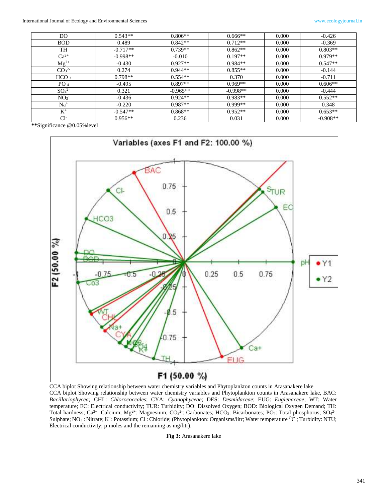| DO.                          | $0.543**$  | $0.806**$  | $0.666**$  | 0.000 | $-0.426$   |
|------------------------------|------------|------------|------------|-------|------------|
| <b>BOD</b>                   | 0.489      | $0.842**$  | $0.712**$  | 0.000 | $-0.369$   |
| TH                           | $-0.717**$ | $0.739**$  | $0.862**$  | 0.000 | $0.803**$  |
| $Ca^{2+}$                    | $-0.998**$ | $-0.010$   | $0.197**$  | 0.000 | $0.979**$  |
| $Mg^{2+}$                    | $-0.430$   | $0.927**$  | $0.984**$  | 0.000 | $0.547**$  |
| CO <sub>3</sub> <sup>2</sup> | 0.274      | $0.944**$  | $0.855**$  | 0.000 | $-0.144$   |
| HCO <sub>3</sub>             | $0.798**$  | $0.554**$  | 0.370      | 0.000 | $-0.711$   |
| PO <sub>1</sub>              | $-0.495$   | $0.897**$  | $0.969**$  | 0.000 | $0.606**$  |
| SO <sub>4</sub> <sup>2</sup> | 0.321      | $-0.965**$ | $-0.998**$ | 0.000 | $-0.444$   |
| NO <sub>3</sub>              | $-0.436$   | $0.924**$  | $0.983**$  | 0.000 | $0.552**$  |
| $Na+$                        | $-0.220$   | $0.987**$  | $0.999**$  | 0.000 | 0.348      |
| $K^+$                        | $-0.547**$ | $0.868**$  | $0.952**$  | 0.000 | $0.653**$  |
| $Cl^-$                       | $0.956**$  | 0.236      | 0.031      | 0.000 | $-0.908**$ |

**\*\***Significance @0.05%level



CCA biplot Showing relationship between water chemistry variables and Phytoplankton counts in Arasanakere lake CCA biplot Showing relationship between water chemistry variables and Phytoplankton counts in Arasanakere lake, BAC: *Bacillariophycea;* CHL: *Chlorococcales*; CYA: *Cyanophyceae*; DES: *Desmidaceae*; EUG: *Euglenaceae*; WT: Water temperature; EC: Electrical conductivity; TUR: Turbidity; DO: Dissolved Oxygen; BOD: Biological Oxygen Demand; TH: Total hardness;  $Ca^{2+}$ : Calcium;  $Mg^{2+}$ : Magnesium;  $CO_3^2$ : Carbonates; HCO<sub>3</sub>: Bicarbonates; PO<sub>4</sub>: Total phosphorus; SO<sub>4</sub><sup>2</sup>: Sulphate; NO<sub>3</sub>: Nitrate; K<sup>+</sup>: Potassium; Cl<sup>-</sup>: Chloride; (Phytoplankton: Organisms/litr; Water temperature <sup>O</sup>C; Turbidity: NTU; Electrical conductivity;  $\mu$  moles and the remaining as mg/litr).

**Fig 3:** Arasanakere lake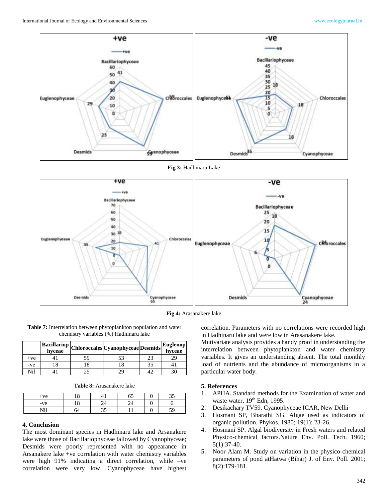

**Fig 3:** Hadhinaru Lake



**Fig 4:** Arasanakere lake

| <b>Table 7:</b> Interrelation between phytoplankton population and water |
|--------------------------------------------------------------------------|
| chemistry variables (%) Hadhinaru lake                                   |

|       | hyceae | $\boxed{\textbf{Bacillariop}}\textbf{[Chloroccales]}Cyanophyceae\textbf{[Desmids]}^{\star}$ |    | Euglenop<br>hyceae |
|-------|--------|---------------------------------------------------------------------------------------------|----|--------------------|
| $+ve$ |        |                                                                                             | 23 | 29                 |
| -ve   |        |                                                                                             | 35 |                    |
| Nil   |        | 70                                                                                          |    |                    |

|  | Table 8: Arasanakere lake |  |
|--|---------------------------|--|
|--|---------------------------|--|

| $+ve$ | 1 Ω<br>⊥∪ | OJ | $\sim$ $\sim$<br>◡ |
|-------|-----------|----|--------------------|
| -ve   | ıο<br>⊥∪  |    |                    |
| Nil   | ī۷        |    | 50<br>◡            |

#### **4. Conclusion**

The most dominant species in Hadhinaru lake and Arsanakere lake were those of Bacillariophyceae fallowed by Cyanophyceae; Desmids were poorly represented with no appearance in Arsanakere lake +ve correlation with water chemistry variables were high 91% indicating a direct correlation, while –ve correlation were very low. Cyanophyceae have highest

correlation. Parameters with no correlations were recorded high in Hadhinaru lake and were low in Arasanakere lake.

Mutivariate analysis provides a handy proof in understanding the interrelation between phytoplankton and water chemistry variables. It gives an understanding absent. The total monthly load of nutrients and the abundance of microorganisms in a particular water body.

### **5. References**

- 1. APHA. Standard methods for the Examination of water and waste water, 19<sup>th</sup> Edn, 1995.
- 2. Desikachary TV59. Cyanophyceae ICAR, New Delhi
- 3. Hosmani SP, Bharathi SG. Algae used as indicators of organic pollution. Phykos. 1980; 19(1): 23-26.
- 4. Hosmani SP. Algal biodiversity in Fresh waters and related Physico-chemical factors.Nature Env. Poll. Tech. 1960; 5(1):37-40.
- 5. Noor Alam M. Study on variation in the physico-chemical parameters of pond atHatwa (Bihar) J. of Env. Poll. 2001; 8(2):179-181.